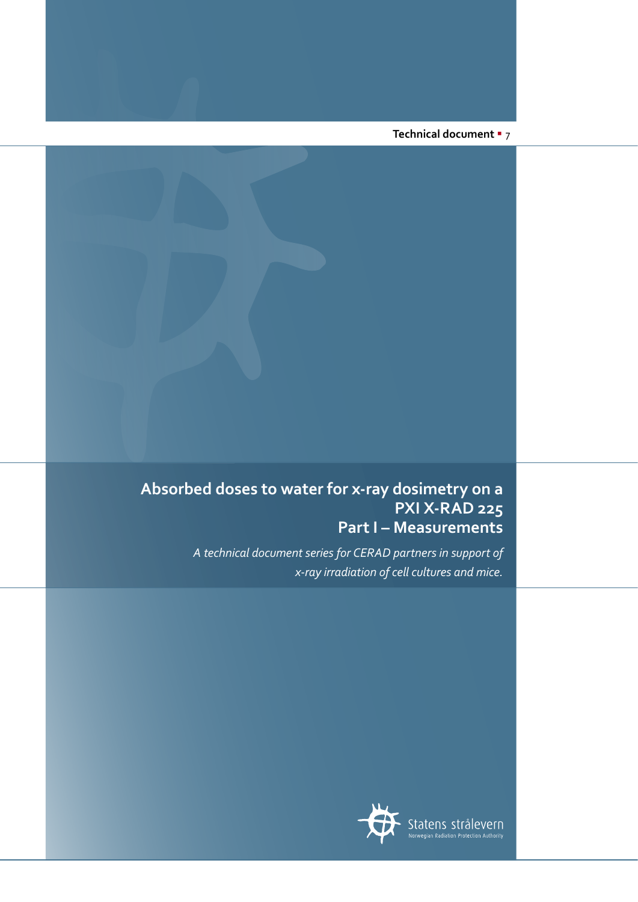**Technical document** § 7

# **Absorbed doses to water for x-ray dosimetry on a PXI X-RAD 225 Part I – Measurements**

*A technical document series for CERAD partners in support of x-ray irradiation of cell cultures and mice.*

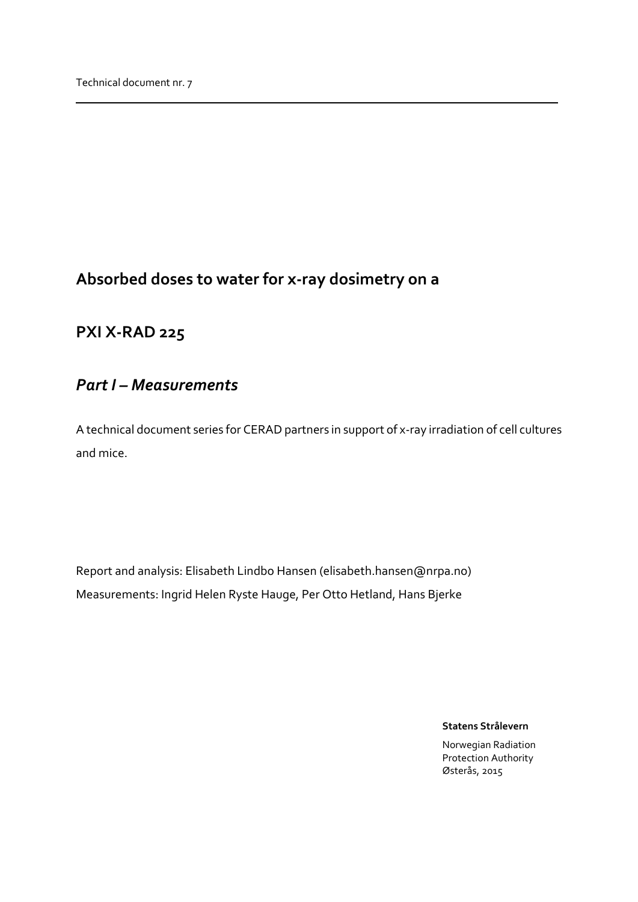# <span id="page-1-1"></span><span id="page-1-0"></span>**Absorbed doses to water for x-ray dosimetry on a**

# <span id="page-1-2"></span>**PXI X-RAD 225**

# *Part I – Measurements*

A technical document series for CERAD partners in support of x-ray irradiation of cell cultures and mice.

Report and analysis: Elisabeth Lindbo Hansen (elisabeth.hansen@nrpa.no) Measurements: Ingrid Helen Ryste Hauge, Per Otto Hetland, Hans Bjerke

**Statens Strålevern**

Norwegian Radiation Protection Authority Østerås, 2015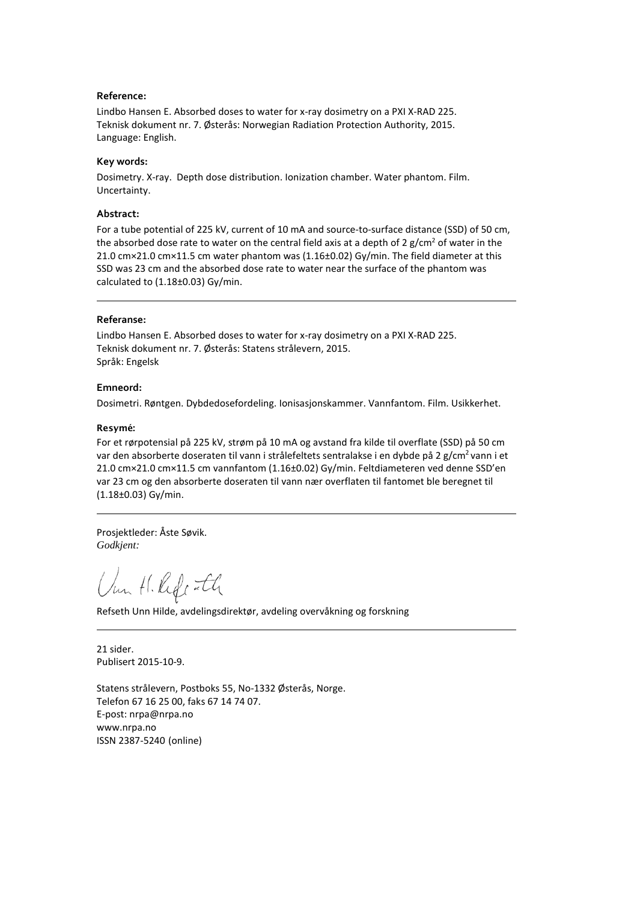#### **Reference:**

Lindbo Hansen E. Absorbed doses to water for x-ray dosimetry on a PXI X-RAD 225. Teknisk dokument nr. 7. Østerås: Norwegian Radiation Protection Authority, 2015. Language: English.

#### **Key words:**

Dosimetry. X-ray. Depth dose distribution. Ionization chamber. Water phantom. Film. Uncertainty.

#### **Abstract:**

For a tube potential of 225 kV, current of 10 mA and source-to-surface distance (SSD) of 50 cm, the absorbed dose rate to water on the central field axis at a depth of 2  $g/cm<sup>2</sup>$  of water in the 21.0 cm×21.0 cm×11.5 cm water phantom was (1.16±0.02) Gy/min. The field diameter at this SSD was 23 cm and the absorbed dose rate to water near the surface of the phantom was calculated to  $(1.18\pm0.03)$  Gy/min.

#### **Referanse:**

Lindbo Hansen E. Absorbed doses to water for x-ray dosimetry on a PXI X-RAD 225. Teknisk dokument nr. 7. Østerås: Statens strålevern, 2015. Språk: Engelsk

#### **Emneord:**

Dosimetri. Røntgen. Dybdedosefordeling. Ionisasjonskammer. Vannfantom. Film. Usikkerhet.

#### Resymé:

For et rørpotensial på 225 kV, strøm på 10 mA og avstand fra kilde til overflate (SSD) på 50 cm var den absorberte doseraten til vann i strålefeltets sentralakse i en dybde på 2 g/cm<sup>2</sup> vann i et 21.0 cm×21.0 cm×11.5 cm vannfantom (1.16±0.02) Gy/min. Feltdiameteren ved denne SSD'en var 23 cm og den absorberte doseraten til vann nær overflaten til fantomet ble beregnet til (1.18±0.03) Gy/min.

Prosjektleder: Åste Søvik. *Godkjent:*

Um H. Rife Ith

Refseth Unn Hilde, avdelingsdirektør, avdeling overvåkning og forskning

21 sider. Publisert 2015-10-9.

Statens strålevern, Postboks 55, No-1332 Østerås, Norge. Telefon 67 16 25 00, faks 67 14 74 07. E-post: nrpa@nrpa.no www.nrpa.no ISSN 2387-5240 (online)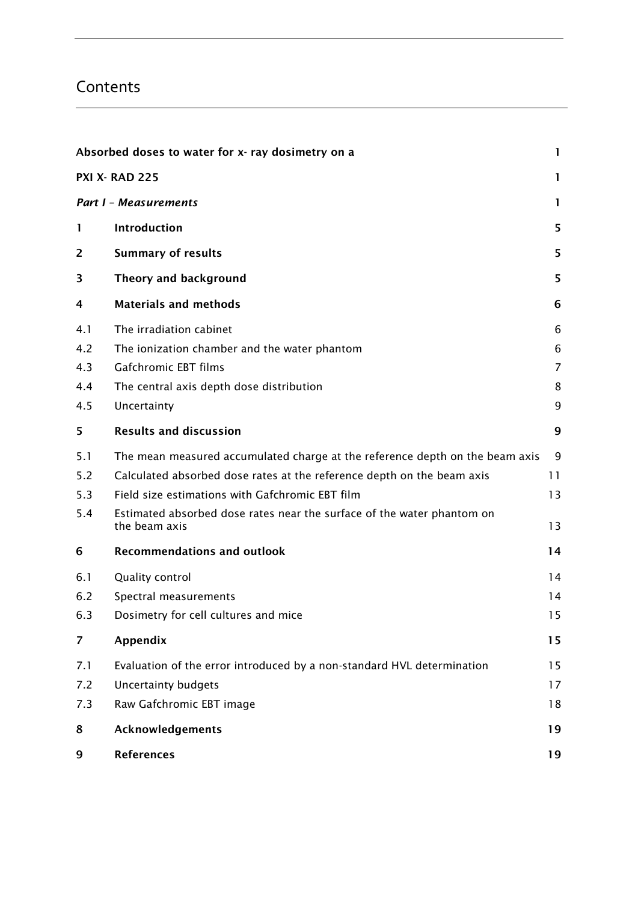# Contents

|     | Absorbed doses to water for x- ray dosimetry on a<br>1                                  |                |  |  |  |
|-----|-----------------------------------------------------------------------------------------|----------------|--|--|--|
|     | <b>PXI X- RAD 225</b>                                                                   | 1              |  |  |  |
|     | <b>Part I - Measurements</b>                                                            | 1              |  |  |  |
| 1   | Introduction                                                                            | 5              |  |  |  |
| 2   | <b>Summary of results</b>                                                               | 5              |  |  |  |
| 3   | Theory and background                                                                   | 5              |  |  |  |
| 4   | <b>Materials and methods</b>                                                            | 6              |  |  |  |
| 4.1 | The irradiation cabinet                                                                 | 6              |  |  |  |
| 4.2 | The ionization chamber and the water phantom                                            | $\,6$          |  |  |  |
| 4.3 | Gafchromic EBT films                                                                    | $\overline{7}$ |  |  |  |
| 4.4 | The central axis depth dose distribution                                                | 8              |  |  |  |
| 4.5 | Uncertainty                                                                             | 9              |  |  |  |
| 5   | <b>Results and discussion</b>                                                           | 9              |  |  |  |
| 5.1 | The mean measured accumulated charge at the reference depth on the beam axis            | 9              |  |  |  |
| 5.2 | Calculated absorbed dose rates at the reference depth on the beam axis                  | 11             |  |  |  |
| 5.3 | Field size estimations with Gafchromic EBT film                                         | 13             |  |  |  |
| 5.4 | Estimated absorbed dose rates near the surface of the water phantom on<br>the beam axis | 13             |  |  |  |
| 6   | <b>Recommendations and outlook</b>                                                      | 14             |  |  |  |
| 6.1 | Quality control                                                                         | 14             |  |  |  |
| 6.2 | Spectral measurements                                                                   | 14             |  |  |  |
| 6.3 | Dosimetry for cell cultures and mice                                                    | 15             |  |  |  |
| 7   | Appendix                                                                                | 15             |  |  |  |
| 7.1 | Evaluation of the error introduced by a non-standard HVL determination                  | 15             |  |  |  |
| 7.2 | <b>Uncertainty budgets</b>                                                              | 17             |  |  |  |
| 7.3 | Raw Gafchromic EBT image                                                                | 18             |  |  |  |
| 8   | Acknowledgements                                                                        | 19             |  |  |  |
| 9   | <b>References</b>                                                                       | 19             |  |  |  |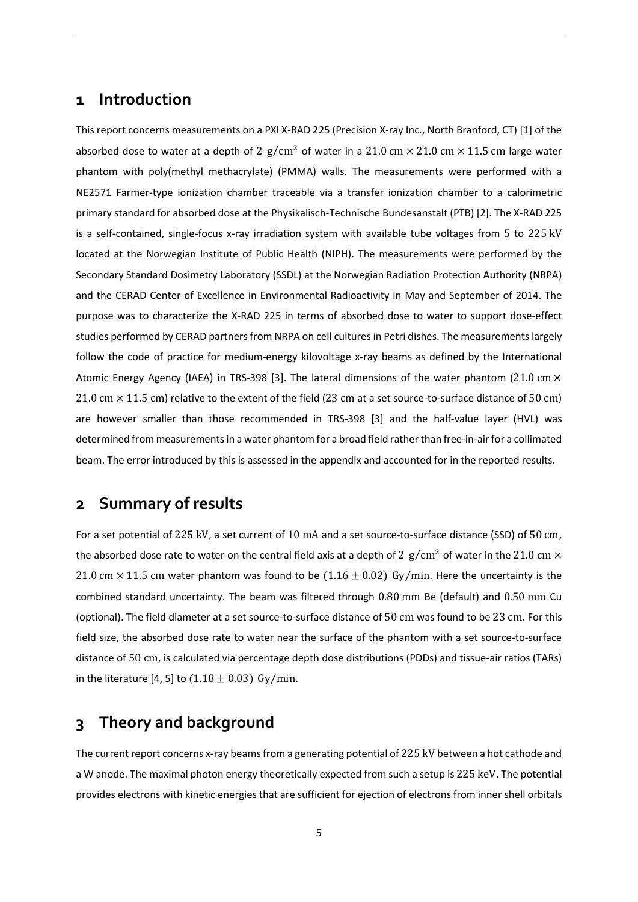### <span id="page-4-0"></span>**1 Introduction**

This report concerns measurements on a PXI X-RAD 225 (Precision X-ray Inc., North Branford, CT) [\[1\]](#page-18-2) of the absorbed dose to water at a depth of 2  $g/cm^2$  of water in a 21.0 cm  $\times$  21.0 cm  $\times$  11.5 cm large water phantom with poly(methyl methacrylate) (PMMA) walls. The measurements were performed with a NE2571 Farmer-type ionization chamber traceable via a transfer ionization chamber to a calorimetric primary standard for absorbed dose at the Physikalisch-Technische Bundesanstalt (PTB) [\[2\]](#page-18-3). The X-RAD 225 is a self-contained, single-focus x-ray irradiation system with available tube voltages from 5 to 225 kV located at the Norwegian Institute of Public Health (NIPH). The measurements were performed by the Secondary Standard Dosimetry Laboratory (SSDL) at the Norwegian Radiation Protection Authority (NRPA) and the CERAD Center of Excellence in Environmental Radioactivity in May and September of 2014. The purpose was to characterize the X-RAD 225 in terms of absorbed dose to water to support dose-effect studies performed by CERAD partners from NRPA on cell cultures in Petri dishes. The measurements largely follow the code of practice for medium-energy kilovoltage x-ray beams as defined by the International Atomic Energy Agency (IAEA) in TRS-398 [\[3\]](#page-18-4). The lateral dimensions of the water phantom (21.0 cm  $\times$ 21.0 cm  $\times$  11.5 cm) relative to the extent of the field (23 cm at a set source-to-surface distance of 50 cm) are however smaller than those recommended in TRS-398 [\[3\]](#page-18-4) and the half-value layer (HVL) was determined from measurements in a water phantom for a broad field rather than free-in-airfor a collimated beam. The error introduced by this is assessed in the appendix and accounted for in the reported results.

### <span id="page-4-1"></span>**2 Summary of results**

For a set potential of 225 kV, a set current of 10 mA and a set source-to-surface distance (SSD) of 50 cm, the absorbed dose rate to water on the central field axis at a depth of 2  $g/cm^2$  of water in the 21.0 cm  $\times$ 21.0 cm  $\times$  11.5 cm water phantom was found to be (1.16  $\pm$  0.02) Gy/min. Here the uncertainty is the combined standard uncertainty. The beam was filtered through 0.80 mm Be (default) and 0.50 mm Cu (optional). The field diameter at a set source-to-surface distance of 50 cm was found to be 23 cm. For this field size, the absorbed dose rate to water near the surface of the phantom with a set source-to-surface distance of 50 cm, is calculated via percentage depth dose distributions (PDDs) and tissue-air ratios (TARs) in the literature [\[4,](#page-18-5) [5\]](#page-18-6) to  $(1.18 \pm 0.03)$  Gy/min.

### <span id="page-4-2"></span>**3 Theory and background**

The current report concerns x-ray beams from a generating potential of 225 kV between a hot cathode and a W anode. The maximal photon energy theoretically expected from such a setup is 225 keV. The potential provides electrons with kinetic energies that are sufficient for ejection of electrons from inner shell orbitals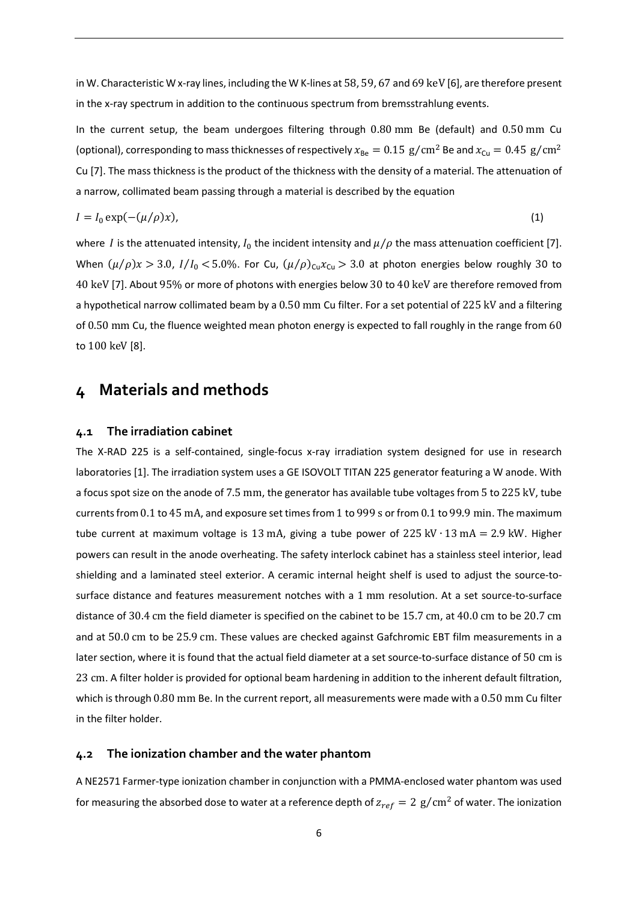in W. Characteristic W x-ray lines, including the W K-lines at 58, 59, 67 and 69 keV [\[6\]](#page-18-7), are therefore present in the x-ray spectrum in addition to the continuous spectrum from bremsstrahlung events.

In the current setup, the beam undergoes filtering through 0.80 mm Be (default) and 0.50 mm Cu (optional), corresponding to mass thicknesses of respectively  $x_{Be} = 0.15 \text{ g/cm}^2$  Be and  $x_{Cu} = 0.45 \text{ g/cm}^2$ Cu [\[7\]](#page-18-8). The mass thickness is the product of the thickness with the density of a material. The attenuation of a narrow, collimated beam passing through a material is described by the equation

$$
I = I_0 \exp(-(\mu/\rho)x),\tag{1}
$$

where *I* is the attenuated intensity,  $I_0$  the incident intensity and  $\mu/\rho$  the mass attenuation coefficient [\[7\]](#page-18-8). When  $(\mu/\rho)x > 3.0$ ,  $I/I_0 < 5.0$ %. For Cu,  $(\mu/\rho)_{Cu}x_{Cu} > 3.0$  at photon energies below roughly 30 to 40 keV [\[7\]](#page-18-8). About 95% or more of photons with energies below 30 to 40 keV are therefore removed from a hypothetical narrow collimated beam by a 0.50 mm Cu filter. For a set potential of 225 kV and a filtering of 0.50 mm Cu, the fluence weighted mean photon energy is expected to fall roughly in the range from 60 to 100 keV [\[8\]](#page-18-9).

### <span id="page-5-0"></span>**4 Materials and methods**

#### <span id="page-5-1"></span>**4.1 The irradiation cabinet**

The X-RAD 225 is a self-contained, single-focus x-ray irradiation system designed for use in research laboratories [\[1\]](#page-18-2). The irradiation system uses a GE ISOVOLT TITAN 225 generator featuring a W anode. With a focus spot size on the anode of 7.5 mm, the generator has available tube voltages from 5 to 225 kV, tube currents from 0.1 to 45 mA, and exposure set times from 1 to 999 s or from 0.1 to 99.9 min. The maximum tube current at maximum voltage is 13 mA, giving a tube power of 225 kV ⋅ 13 mA = 2.9 kW. Higher powers can result in the anode overheating. The safety interlock cabinet has a stainless steel interior, lead shielding and a laminated steel exterior. A ceramic internal height shelf is used to adjust the source-tosurface distance and features measurement notches with a 1 mm resolution. At a set source-to-surface distance of 30.4 cm the field diameter is specified on the cabinet to be 15.7 cm, at 40.0 cm to be 20.7 cm and at 50.0 cm to be 25.9 cm. These values are checked against Gafchromic EBT film measurements in a later section, where it is found that the actual field diameter at a set source-to-surface distance of 50 cm is 23 cm. A filter holder is provided for optional beam hardening in addition to the inherent default filtration, which is through 0.80 mm Be. In the current report, all measurements were made with a 0.50 mm Cu filter in the filter holder.

#### <span id="page-5-2"></span>**4.2 The ionization chamber and the water phantom**

A NE2571 Farmer-type ionization chamber in conjunction with a PMMA-enclosed water phantom was used for measuring the absorbed dose to water at a reference depth of  $z_{ref} = 2$  g/cm<sup>2</sup> of water. The ionization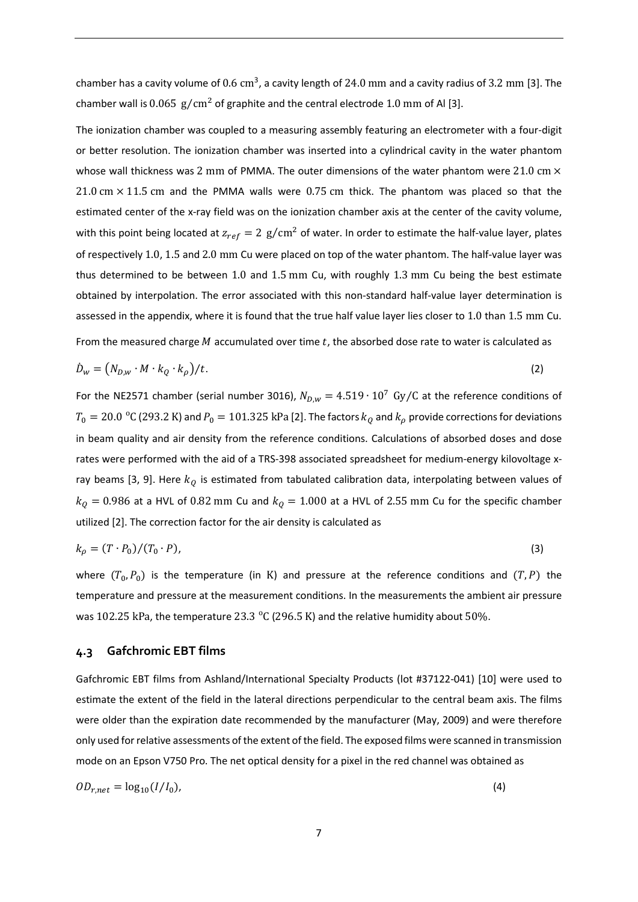chamber has a cavity volume of  $0.6 \text{ cm}^3$ , a cavity length of 24.0 mm and a cavity radius of 3.2 mm [\[3\]](#page-18-4). The chamber wall is  $0.065$  g/cm<sup>2</sup> of graphite and the central electrode 1.0 mm of Al [\[3\]](#page-18-4).

The ionization chamber was coupled to a measuring assembly featuring an electrometer with a four-digit or better resolution. The ionization chamber was inserted into a cylindrical cavity in the water phantom whose wall thickness was 2 mm of PMMA. The outer dimensions of the water phantom were 21.0 cm  $\times$  $21.0 \text{ cm} \times 11.5 \text{ cm}$  and the PMMA walls were 0.75 cm thick. The phantom was placed so that the estimated center of the x-ray field was on the ionization chamber axis at the center of the cavity volume, with this point being located at  $z_{ref} = 2$  g/cm<sup>2</sup> of water. In order to estimate the half-value layer, plates of respectively 1.0, 1.5 and 2.0 mm Cu were placed on top of the water phantom. The half-value layer was thus determined to be between 1.0 and 1.5 mm Cu, with roughly 1.3 mm Cu being the best estimate obtained by interpolation. The error associated with this non-standard half-value layer determination is assessed in the appendix, where it is found that the true half value layer lies closer to 1.0 than 1.5 mm Cu.

From the measured charge  $M$  accumulated over time  $t$ , the absorbed dose rate to water is calculated as

$$
\dot{D}_w = \left(N_{D,w} \cdot M \cdot k_Q \cdot k_\rho\right) / t. \tag{2}
$$

For the NE2571 chamber (serial number 3016),  $N_{D,w} = 4.519 \cdot 10^7$  Gy/C at the reference conditions of  $T_0 = 20.0\,\rm\,{{}^\circ}$ C (293.2 K) and  $P_0 = 101.325$  kPa [\[2\]](#page-18-3). The factors  $k_Q$  and  $k_\rho$  provide corrections for deviations in beam quality and air density from the reference conditions. Calculations of absorbed doses and dose rates were performed with the aid of a TRS-398 associated spreadsheet for medium-energy kilovoltage x-ray beams [\[3,](#page-18-4) [9\]](#page-18-10). Here  $k_{\text{Q}}$  is estimated from tabulated calibration data, interpolating between values of  $k_0 = 0.986$  at a HVL of 0.82 mm Cu and  $k_0 = 1.000$  at a HVL of 2.55 mm Cu for the specific chamber utilized [\[2\]](#page-18-3). The correction factor for the air density is calculated as

$$
k_{\rho} = (T \cdot P_0) / (T_0 \cdot P), \tag{3}
$$

where  $(T_0, P_0)$  is the temperature (in K) and pressure at the reference conditions and  $(T, P)$  the temperature and pressure at the measurement conditions. In the measurements the ambient air pressure was 102.25 kPa, the temperature 23.3  $\,^{\circ}$ C (296.5 K) and the relative humidity about 50%.

#### <span id="page-6-0"></span>**4.3 Gafchromic EBT films**

Gafchromic EBT films from Ashland/International Specialty Products (lot #37122-041) [\[10\]](#page-18-11) were used to estimate the extent of the field in the lateral directions perpendicular to the central beam axis. The films were older than the expiration date recommended by the manufacturer (May, 2009) and were therefore only used for relative assessments of the extent of the field. The exposed films were scanned in transmission mode on an Epson V750 Pro. The net optical density for a pixel in the red channel was obtained as

$$
OD_{r,net} = \log_{10}(I/I_0),\tag{4}
$$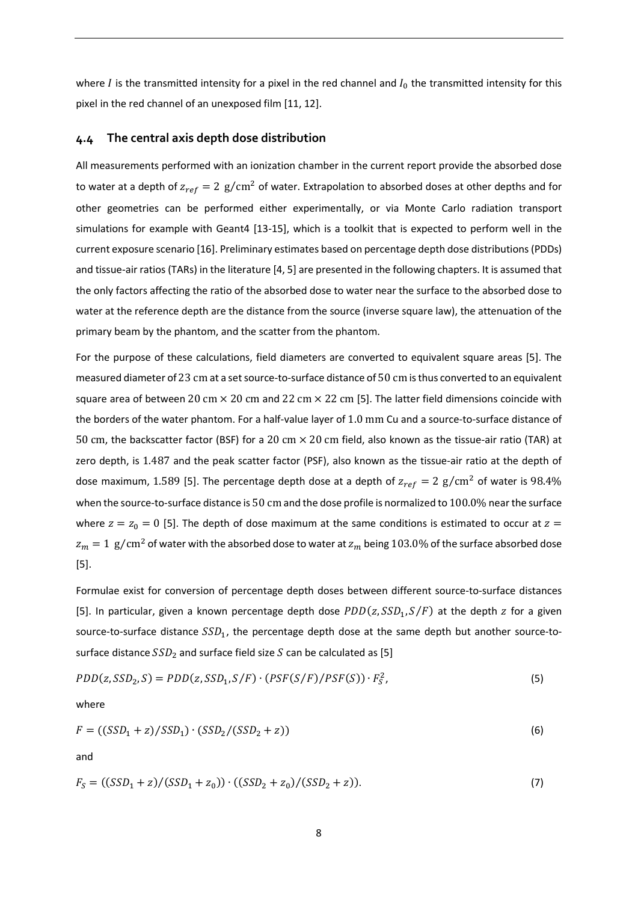where I is the transmitted intensity for a pixel in the red channel and  $I_0$  the transmitted intensity for this pixel in the red channel of an unexposed film [\[11,](#page-18-12) [12\]](#page-19-0).

#### <span id="page-7-0"></span>**4.4 The central axis depth dose distribution**

All measurements performed with an ionization chamber in the current report provide the absorbed dose to water at a depth of  $z_{ref} = 2$  g/cm<sup>2</sup> of water. Extrapolation to absorbed doses at other depths and for other geometries can be performed either experimentally, or via Monte Carlo radiation transport simulations for example with Geant4 [\[13-15\]](#page-19-1), which is a toolkit that is expected to perform well in the current exposure scenario [\[16\]](#page-19-2). Preliminary estimates based on percentage depth dose distributions (PDDs) and tissue-air ratios (TARs) in the literature [\[4,](#page-18-5) [5\]](#page-18-6) are presented in the following chapters. It is assumed that the only factors affecting the ratio of the absorbed dose to water near the surface to the absorbed dose to water at the reference depth are the distance from the source (inverse square law), the attenuation of the primary beam by the phantom, and the scatter from the phantom.

For the purpose of these calculations, field diameters are converted to equivalent square areas [\[5\]](#page-18-6). The measured diameter of 23 cm at a setsource-to-surface distance of 50 cm isthus converted to an equivalent square area of between 20 cm  $\times$  20 cm and 22 cm  $\times$  22 cm [\[5\]](#page-18-6). The latter field dimensions coincide with the borders of the water phantom. For a half-value layer of 1.0 mm Cu and a source-to-surface distance of 50 cm, the backscatter factor (BSF) for a 20 cm × 20 cm field, also known as the tissue-air ratio (TAR) at zero depth, is 1.487 and the peak scatter factor (PSF), also known as the tissue-air ratio at the depth of dose maximum, 1.589 [\[5\]](#page-18-6). The percentage depth dose at a depth of  $z_{ref} = 2$  g/cm<sup>2</sup> of water is 98.4% when the source-to-surface distance is 50 cm and the dose profile is normalized to 100.0% nearthe surface where  $z = z_0 = 0$  [\[5\]](#page-18-6). The depth of dose maximum at the same conditions is estimated to occur at  $z =$  $z_m = 1$  g/cm<sup>2</sup> of water with the absorbed dose to water at  $z_m$  being 103.0% of the surface absorbed dose [\[5\]](#page-18-6).

Formulae exist for conversion of percentage depth doses between different source-to-surface distances [\[5\]](#page-18-6). In particular, given a known percentage depth dose  $PDD(z, SSD_1, S/F)$  at the depth z for a given source-to-surface distance  $SSD_1$ , the percentage depth dose at the same depth but another source-tosurface distance  $SSD<sub>2</sub>$  and surface field size S can be calculated as [\[5\]](#page-18-6)

$$
PDD(z, SSD_2, S) = PDD(z, SSD_1, S/F) \cdot (PSF(S/F)/PSF(S)) \cdot F_S^2,
$$
\n
$$
(5)
$$

where

$$
F = ((SSD_1 + z)/SSD_1) \cdot (SSD_2/(SSD_2 + z))
$$
\n(6)

and

$$
F_S = ((SSD_1 + z) / (SSD_1 + z_0)) \cdot ((SSD_2 + z_0) / (SSD_2 + z)).
$$
\n(7)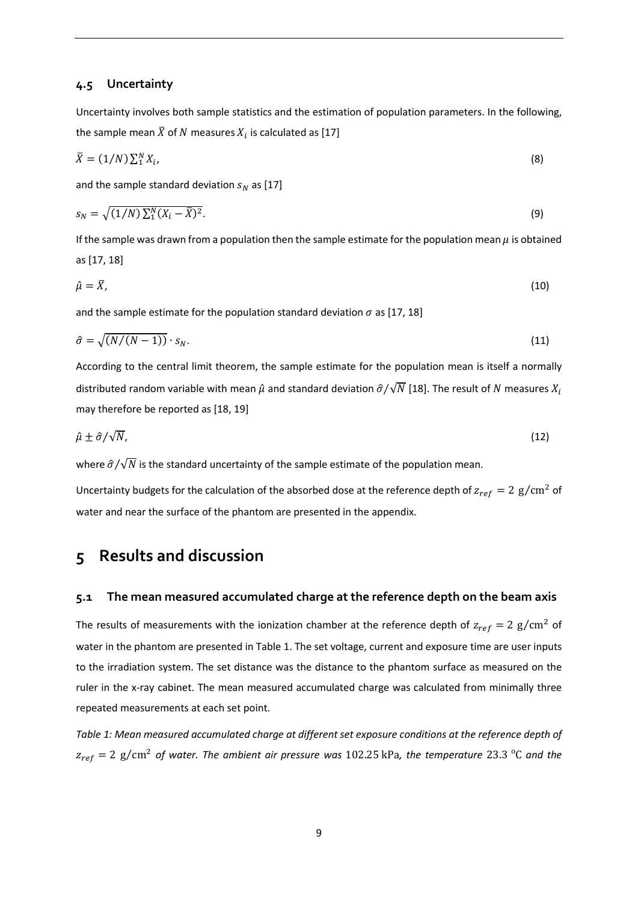#### <span id="page-8-0"></span>**4.5 Uncertainty**

Uncertainty involves both sample statistics and the estimation of population parameters. In the following, the sample mean  $\bar{X}$  of N measures  $X_i$  is calculated as [\[17\]](#page-19-3)

$$
\bar{X} = (1/N) \sum_{i=1}^{N} X_i, \tag{8}
$$

and the sample standard deviation  $s_N$  as [\[17\]](#page-19-3)

$$
s_N = \sqrt{(1/N)\sum_1^N (X_i - \bar{X})^2}.\tag{9}
$$

If the sample was drawn from a population then the sample estimate for the population mean  $\mu$  is obtained as [\[17,](#page-19-3) [18\]](#page-19-4)

$$
\hat{\mu} = X,\tag{10}
$$

and the sample estimate for the population standard deviation  $\sigma$  as [\[17,](#page-19-3) [18\]](#page-19-4)

$$
\hat{\sigma} = \sqrt{\left(N/(N-1)\right) \cdot s_N}.\tag{11}
$$

According to the central limit theorem, the sample estimate for the population mean is itself a normally distributed random variable with mean  $\hat{\mu}$  and standard deviation  $\hat{\sigma}/\sqrt{N}$  [\[18\]](#page-19-4). The result of N measures  $X_i$ may therefore be reported as [\[18,](#page-19-4) [19\]](#page-19-5)

$$
\hat{\mu} \pm \hat{\sigma}/\sqrt{N},\tag{12}
$$

where  $\hat{\sigma}/\sqrt{N}$  is the standard uncertainty of the sample estimate of the population mean.

Uncertainty budgets for the calculation of the absorbed dose at the reference depth of  $z_{ref} = 2$  g/cm<sup>2</sup> of water and near the surface of the phantom are presented in the appendix.

### <span id="page-8-1"></span>**5 Results and discussion**

#### <span id="page-8-2"></span>**5.1 The mean measured accumulated charge at the reference depth on the beam axis**

The results of measurements with the ionization chamber at the reference depth of  $z_{ref} = 2$  g/cm<sup>2</sup> of water in the phantom are presented in Table 1. The set voltage, current and exposure time are user inputs to the irradiation system. The set distance was the distance to the phantom surface as measured on the ruler in the x-ray cabinet. The mean measured accumulated charge was calculated from minimally three repeated measurements at each set point.

*Table 1: Mean measured accumulated charge at different set exposure conditions at the reference depth of*   $z_{ref} = 2$  g/cm<sup>2</sup> of water. The ambient air pressure was 102.25 kPa, the temperature 23.3 <sup>o</sup>C and the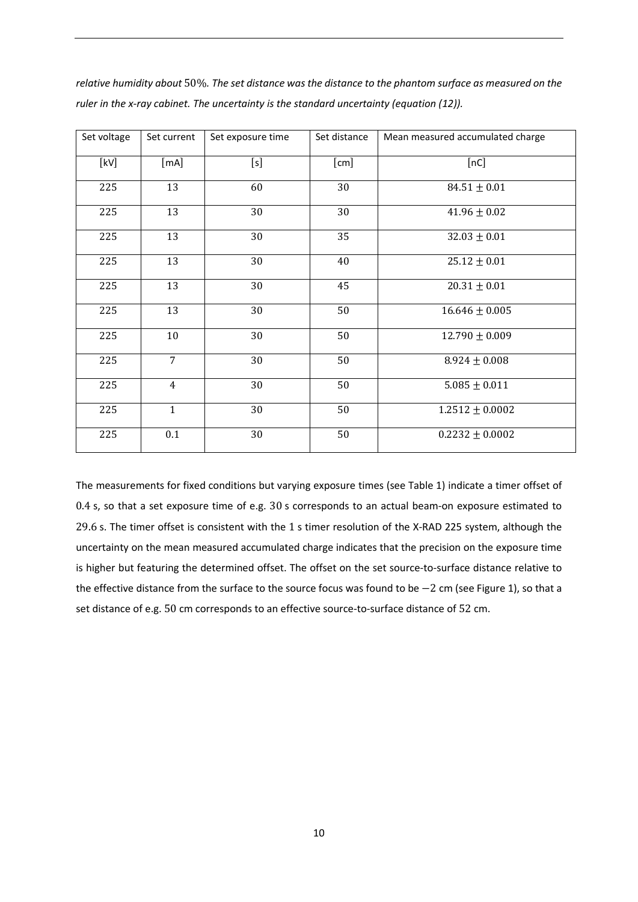| Set voltage | Set current    | Set exposure time | Set distance | Mean measured accumulated charge |
|-------------|----------------|-------------------|--------------|----------------------------------|
| [kV]        | [mA]           | [s]               | [cm]         | [nc]                             |
| 225         | 13             | 60                | 30           | $84.51 \pm 0.01$                 |
| 225         | 13             | 30                | 30           | $41.96 \pm 0.02$                 |
| 225         | 13             | 30                | 35           | $32.03 \pm 0.01$                 |
| 225         | 13             | 30                | 40           | $25.12 \pm 0.01$                 |
| 225         | 13             | 30                | 45           | $20.31 \pm 0.01$                 |
| 225         | 13             | 30                | 50           | $16.646 \pm 0.005$               |
| 225         | 10             | 30                | 50           | $12.790 \pm 0.009$               |
| 225         | $\overline{7}$ | 30                | 50           | $8.924 \pm 0.008$                |
| 225         | $\overline{4}$ | 30                | 50           | $5.085 \pm 0.011$                |
| 225         | $\mathbf{1}$   | 30                | 50           | $1.2512 \pm 0.0002$              |
| 225         | 0.1            | 30                | 50           | $0.2232 \pm 0.0002$              |

*relative humidity about* 50%*. The set distance was the distance to the phantom surface as measured on the ruler in the x-ray cabinet. The uncertainty is the standard uncertainty (equation (12)).*

The measurements for fixed conditions but varying exposure times (see Table 1) indicate a timer offset of 0.4 s, so that a set exposure time of e.g. 30 s corresponds to an actual beam-on exposure estimated to 29.6 s. The timer offset is consistent with the 1 s timer resolution of the X-RAD 225 system, although the uncertainty on the mean measured accumulated charge indicates that the precision on the exposure time is higher but featuring the determined offset. The offset on the set source-to-surface distance relative to the effective distance from the surface to the source focus was found to be −2 cm (see Figure 1), so that a set distance of e.g. 50 cm corresponds to an effective source-to-surface distance of 52 cm.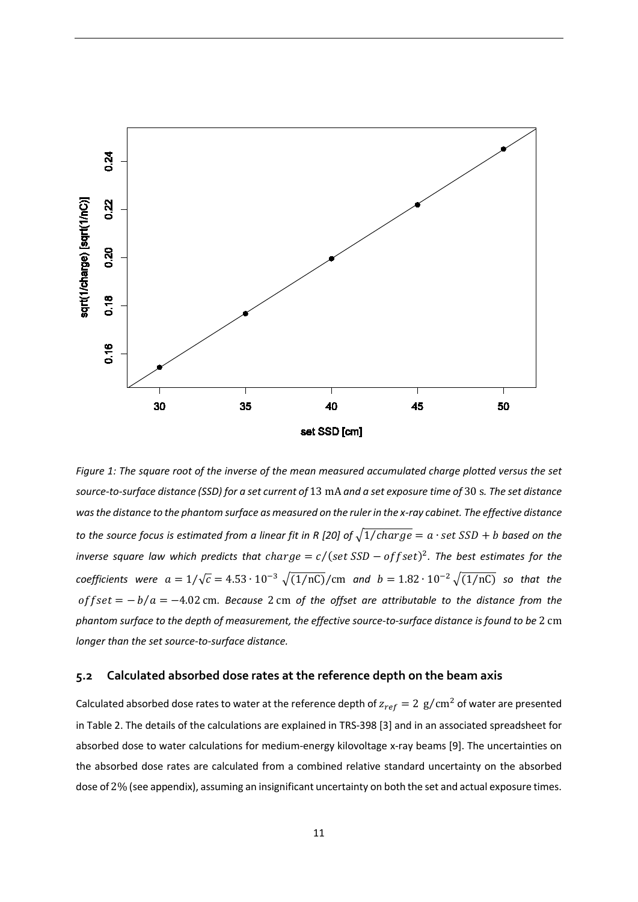

*Figure 1: The square root of the inverse of the mean measured accumulated charge plotted versus the set source-to-surface distance (SSD) for a set current of* 13 mA *and a set exposure time of* 30 s*. The set distance was the distance to the phantom surface as measured on the ruler in the x-ray cabinet. The effective distance to the source focus is estimated from a linear fit in R [\[20\]](#page-19-6) of*  $\sqrt{1/charge} = a \cdot set$  *SSD + b based on the inverse square law which predicts that charge =*  $c/(set$  *SSD - of fset*)<sup>2</sup>. The best estimates for the *coefficients were*  $a = 1/\sqrt{c} = 4.53 \cdot 10^{-3} \sqrt{(1/nC)}/cm$  *and*  $b = 1.82 \cdot 10^{-2} \sqrt{(1/nC)}$  *so that the* of f set = − b / a = −4.02 cm. Because 2 cm of the offset are attributable to the distance from the *phantom surface to the depth of measurement, the effective source-to-surface distance is found to be* 2 cm *longer than the set source-to-surface distance.*

#### <span id="page-10-0"></span>**5.2 Calculated absorbed dose rates at the reference depth on the beam axis**

Calculated absorbed dose rates to water at the reference depth of  $z_{ref} = 2$  g/cm<sup>2</sup> of water are presented in Table 2. The details of the calculations are explained in TRS-398 [\[3\]](#page-18-4) and in an associated spreadsheet for absorbed dose to water calculations for medium-energy kilovoltage x-ray beams [\[9\]](#page-18-10). The uncertainties on the absorbed dose rates are calculated from a combined relative standard uncertainty on the absorbed dose of 2% (see appendix), assuming an insignificant uncertainty on both the set and actual exposure times.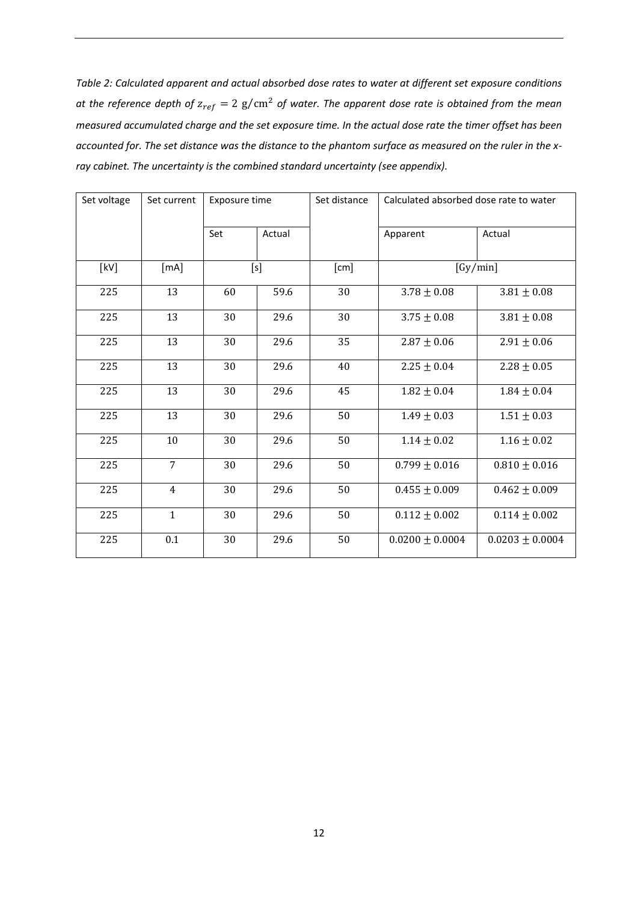*Table 2: Calculated apparent and actual absorbed dose rates to water at different set exposure conditions at the reference depth of*  $z_{ref} = 2 g/cm<sup>2</sup>$  *of water. The apparent dose rate is obtained from the mean measured accumulated charge and the set exposure time. In the actual dose rate the timer offset has been accounted for. The set distance was the distance to the phantom surface as measured on the ruler in the xray cabinet. The uncertainty is the combined standard uncertainty (see appendix).*

| Set voltage | Set current    | Exposure time |        | Set distance | Calculated absorbed dose rate to water |                     |
|-------------|----------------|---------------|--------|--------------|----------------------------------------|---------------------|
|             |                | Set           | Actual |              | Apparent                               | Actual              |
| [kV]        | [mA]           | [s]           |        | [cm]         |                                        | $\sqrt{Gy/min}$     |
| 225         | 13             | 60            | 59.6   | 30           | $3.78 \pm 0.08$                        | $3.81\pm0.08$       |
| 225         | 13             | 30            | 29.6   | 30           | $3.75 \pm 0.08$                        | $3.81 \pm 0.08$     |
| 225         | 13             | 30            | 29.6   | 35           | $2.87 \pm 0.06$                        | $2.91 \pm 0.06$     |
| 225         | 13             | 30            | 29.6   | 40           | $2.25\pm0.04$                          | $2.28 \pm 0.05$     |
| 225         | 13             | 30            | 29.6   | 45           | $1.82 \pm 0.04$                        | $1.84 \pm 0.04$     |
| 225         | 13             | 30            | 29.6   | 50           | $1.49 \pm 0.03$                        | $1.51\pm0.03$       |
| 225         | $10\,$         | 30            | 29.6   | 50           | $1.14 \pm 0.02$                        | $1.16 \pm 0.02$     |
| 225         | $\overline{7}$ | 30            | 29.6   | 50           | $0.799 \pm 0.016$                      | $0.810 \pm 0.016$   |
| 225         | $\overline{4}$ | 30            | 29.6   | 50           | $0.455 \pm 0.009$                      | $0.462 \pm 0.009$   |
| 225         | $\mathbf{1}$   | 30            | 29.6   | 50           | $0.112 \pm 0.002$                      | $0.114 \pm 0.002$   |
| 225         | 0.1            | 30            | 29.6   | 50           | $0.0200 \pm 0.0004$                    | $0.0203 \pm 0.0004$ |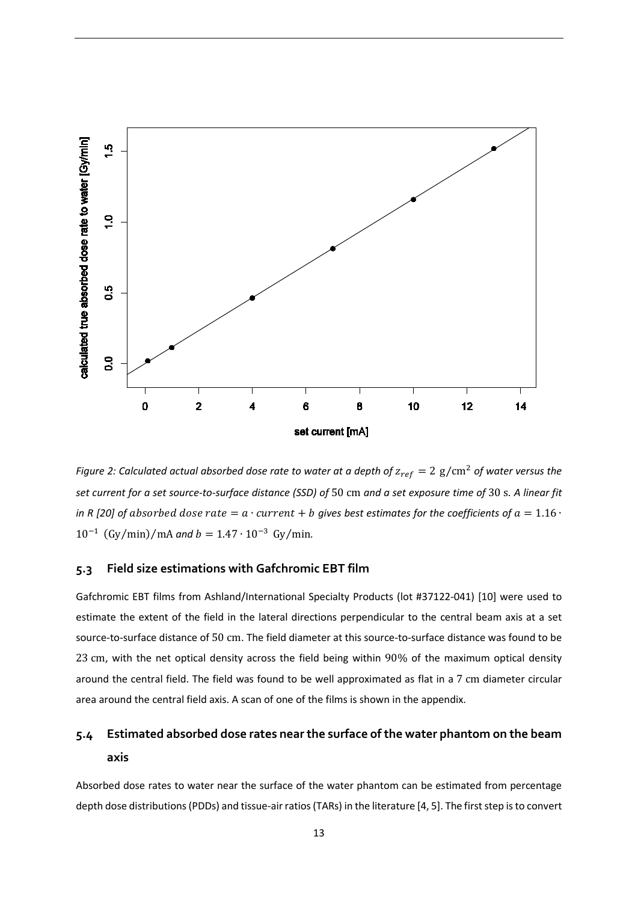

*Figure 2: Calculated actual absorbed dose rate to water at a depth of*  $z_{ref} = 2$  g/cm<sup>2</sup> of water versus the *set current for a set source-to-surface distance (SSD) of* 50 cm *and a set exposure time of* 30 s*. A linear fit in R* [\[20\]](#page-19-6) of absorbed dose rate =  $a \cdot current + b$  gives best estimates for the coefficients of  $a = 1.16 \cdot$  $10^{-1}$  (Gy/min)/mA *and b* = 1.47 ⋅ 10<sup>-3</sup> Gy/min.

#### <span id="page-12-0"></span>**5.3 Field size estimations with Gafchromic EBT film**

Gafchromic EBT films from Ashland/International Specialty Products (lot #37122-041) [\[10\]](#page-18-11) were used to estimate the extent of the field in the lateral directions perpendicular to the central beam axis at a set source-to-surface distance of 50 cm. The field diameter at this source-to-surface distance was found to be 23 cm, with the net optical density across the field being within 90% of the maximum optical density around the central field. The field was found to be well approximated as flat in a 7 cm diameter circular area around the central field axis. A scan of one of the films is shown in the appendix.

# <span id="page-12-1"></span>**5.4 Estimated absorbed dose rates near the surface of the water phantom on the beam axis**

Absorbed dose rates to water near the surface of the water phantom can be estimated from percentage depth dose distributions(PDDs) and tissue-air ratios(TARs) in the literature [\[4,](#page-18-5) [5\]](#page-18-6). The first step is to convert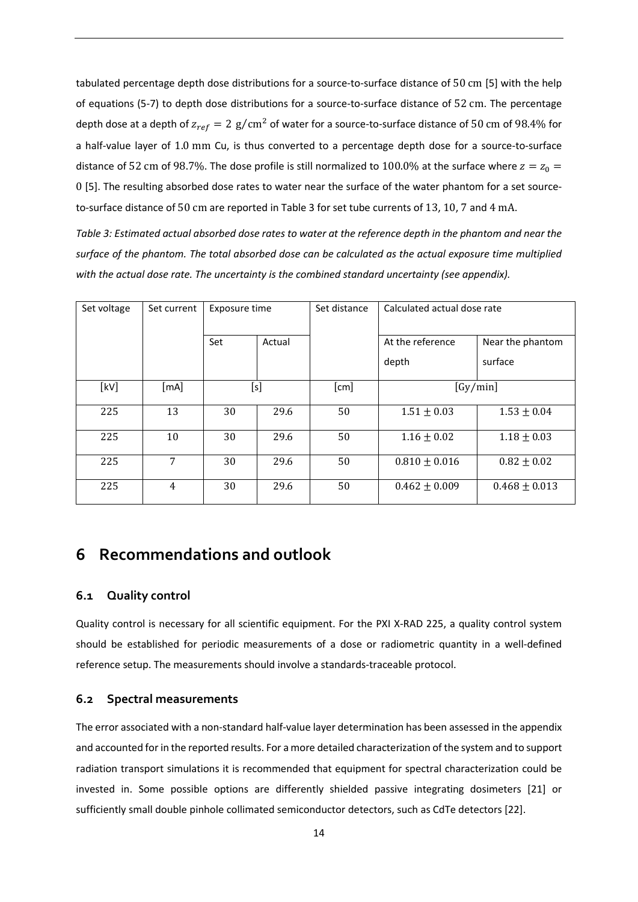tabulated percentage depth dose distributions for a source-to-surface distance of 50 cm [\[5\]](#page-18-6) with the help of equations (5-7) to depth dose distributions for a source-to-surface distance of 52 cm. The percentage depth dose at a depth of  $z_{ref} = 2$  g/cm<sup>2</sup> of water for a source-to-surface distance of 50 cm of 98.4% for a half-value layer of 1.0 mm Cu, is thus converted to a percentage depth dose for a source-to-surface distance of 52 cm of 98.7%. The dose profile is still normalized to 100.0% at the surface where  $z = z_0 =$ 0 [\[5\]](#page-18-6). The resulting absorbed dose rates to water near the surface of the water phantom for a set sourceto-surface distance of 50 cm are reported in Table 3 for set tube currents of 13, 10, 7 and 4 mA.

*Table 3: Estimated actual absorbed dose rates to water at the reference depth in the phantom and near the surface of the phantom. The total absorbed dose can be calculated as the actual exposure time multiplied with the actual dose rate. The uncertainty is the combined standard uncertainty (see appendix).*

| Set voltage | Set current        | Exposure time |        | Set distance         | Calculated actual dose rate |                   |
|-------------|--------------------|---------------|--------|----------------------|-----------------------------|-------------------|
|             |                    | Set           | Actual |                      | At the reference            | Near the phantom  |
|             |                    |               |        |                      | depth                       | surface           |
| [kV]        | $\lceil mA \rceil$ | [s]           |        | $\lceil$ cm $\rceil$ |                             | [Gy/min]          |
| 225         | 13                 | 30            | 29.6   | 50                   | $1.51 \pm 0.03$             | $1.53 \pm 0.04$   |
| 225         | 10                 | 30            | 29.6   | 50                   | $1.16 \pm 0.02$             | $1.18 \pm 0.03$   |
| 225         | 7                  | 30            | 29.6   | 50                   | $0.810 \pm 0.016$           | $0.82 \pm 0.02$   |
| 225         | $\overline{4}$     | 30            | 29.6   | 50                   | $0.462 \pm 0.009$           | $0.468 \pm 0.013$ |

## <span id="page-13-0"></span>**6 Recommendations and outlook**

#### <span id="page-13-1"></span>**6.1 Quality control**

Quality control is necessary for all scientific equipment. For the PXI X-RAD 225, a quality control system should be established for periodic measurements of a dose or radiometric quantity in a well-defined reference setup. The measurements should involve a standards-traceable protocol.

#### <span id="page-13-2"></span>**6.2 Spectral measurements**

The error associated with a non-standard half-value layer determination has been assessed in the appendix and accounted for in the reported results. For a more detailed characterization of the system and to support radiation transport simulations it is recommended that equipment for spectral characterization could be invested in. Some possible options are differently shielded passive integrating dosimeters [\[21\]](#page-19-7) or sufficiently small double pinhole collimated semiconductor detectors, such as CdTe detectors [\[22\]](#page-19-8).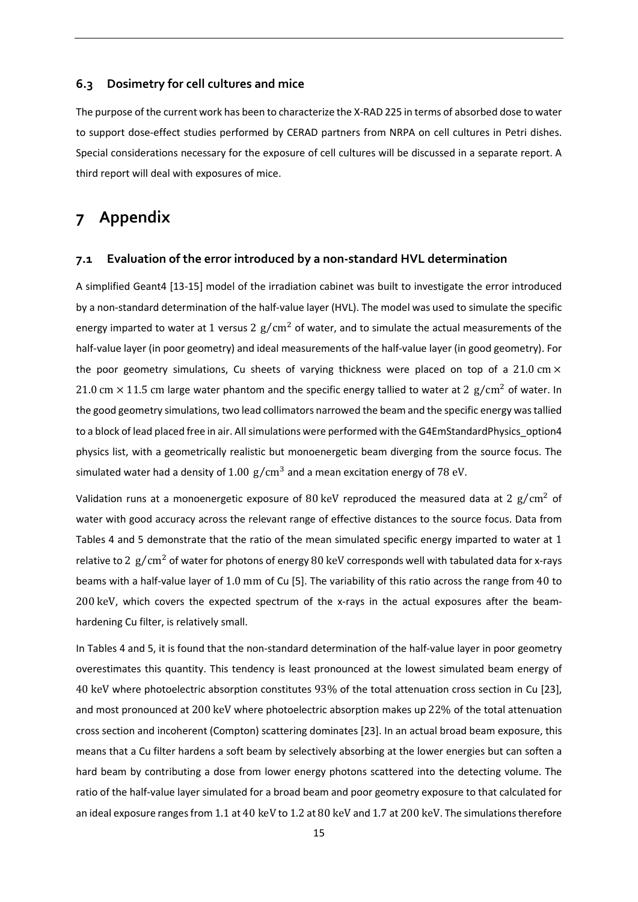#### <span id="page-14-0"></span>**6.3 Dosimetry for cell cultures and mice**

The purpose of the current work has been to characterize the X-RAD 225 in terms of absorbed dose to water to support dose-effect studies performed by CERAD partners from NRPA on cell cultures in Petri dishes. Special considerations necessary for the exposure of cell cultures will be discussed in a separate report. A third report will deal with exposures of mice.

## <span id="page-14-1"></span>**7 Appendix**

#### <span id="page-14-2"></span>**7.1 Evaluation of the error introduced by a non-standard HVL determination**

A simplified Geant4 [\[13-15\]](#page-19-1) model of the irradiation cabinet was built to investigate the error introduced by a non-standard determination of the half-value layer (HVL). The model was used to simulate the specific energy imparted to water at 1 versus 2  $g/cm^2$  of water, and to simulate the actual measurements of the half-value layer (in poor geometry) and ideal measurements of the half-value layer (in good geometry). For the poor geometry simulations, Cu sheets of varying thickness were placed on top of a 21.0 cm  $\times$ 21.0 cm  $\times$  11.5 cm large water phantom and the specific energy tallied to water at 2 g/cm<sup>2</sup> of water. In the good geometry simulations, two lead collimators narrowed the beam and the specific energy was tallied to a block of lead placed free in air. All simulations were performed with the G4EmStandardPhysics\_option4 physics list, with a geometrically realistic but monoenergetic beam diverging from the source focus. The simulated water had a density of  $1.00 \text{ g/cm}^3$  and a mean excitation energy of 78 eV.

Validation runs at a monoenergetic exposure of 80 keV reproduced the measured data at 2  $g/cm^2$  of water with good accuracy across the relevant range of effective distances to the source focus. Data from Tables 4 and 5 demonstrate that the ratio of the mean simulated specific energy imparted to water at 1 relative to 2  $g/cm<sup>2</sup>$  of water for photons of energy 80 keV corresponds well with tabulated data for x-rays beams with a half-value layer of 1.0 mm of Cu [\[5\]](#page-18-6). The variability of this ratio across the range from 40 to 200 keV, which covers the expected spectrum of the x-rays in the actual exposures after the beamhardening Cu filter, is relatively small.

In Tables 4 and 5, it is found that the non-standard determination of the half-value layer in poor geometry overestimates this quantity. This tendency is least pronounced at the lowest simulated beam energy of 40 keV where photoelectric absorption constitutes 93% of the total attenuation cross section in Cu [\[23\]](#page-19-9), and most pronounced at 200 keV where photoelectric absorption makes up 22% of the total attenuation cross section and incoherent (Compton) scattering dominates [\[23\]](#page-19-9). In an actual broad beam exposure, this means that a Cu filter hardens a soft beam by selectively absorbing at the lower energies but can soften a hard beam by contributing a dose from lower energy photons scattered into the detecting volume. The ratio of the half-value layer simulated for a broad beam and poor geometry exposure to that calculated for an ideal exposure ranges from 1.1 at 40 keV to 1.2 at 80 keV and 1.7 at 200 keV. The simulations therefore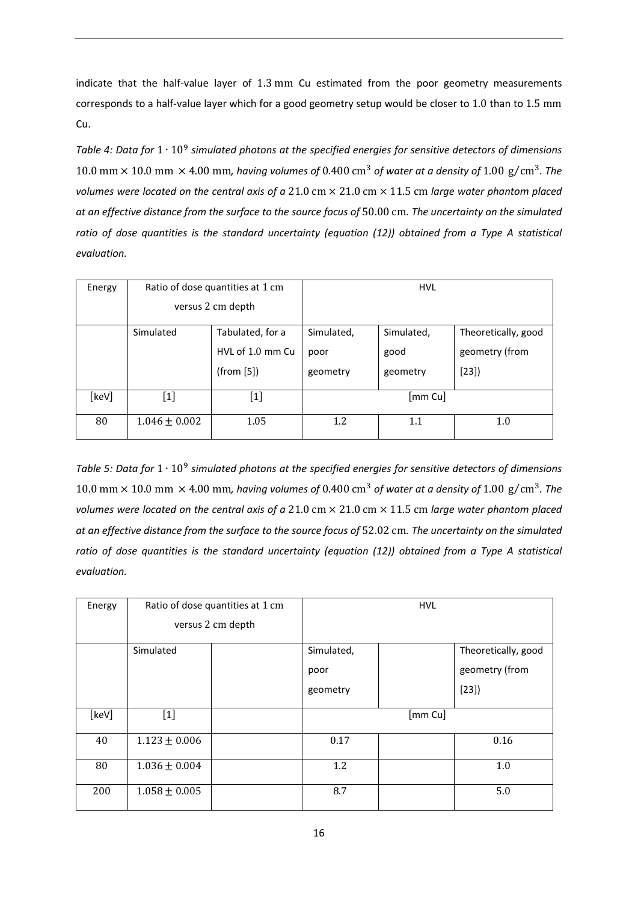indicate that the half-value layer of 1.3 mm Cu estimated from the poor geometry measurements corresponds to a half-value layer which for a good geometry setup would be closer to 1.0 than to 1.5 mm Cu.

*Table 4: Data for* 1 ∙ 10<sup>9</sup> *simulated photons at the specified energies for sensitive detectors of dimensions*  10.0 mm  $\times$  10.0 mm  $\times$  4.00 mm, having volumes of 0.400 cm<sup>3</sup> of water at a density of 1.00 g/cm<sup>3</sup>. The *volumes were located on the central axis of a* 21.0 cm × 21.0 cm × 11.5 cm *large water phantom placed at an effective distance from the surface to the source focus of* 50.00 cm*. The uncertainty on the simulated ratio of dose quantities is the standard uncertainty (equation (12)) obtained from a Type A statistical evaluation.*

| Energy |                                                                                                                                                                                | Ratio of dose quantities at 1 cm<br>versus 2 cm depth |                                           | <b>HVL</b>                     |                                               |
|--------|--------------------------------------------------------------------------------------------------------------------------------------------------------------------------------|-------------------------------------------------------|-------------------------------------------|--------------------------------|-----------------------------------------------|
|        | Simulated                                                                                                                                                                      | Tabulated, for a<br>HVL of 1.0 mm Cu<br>(from [5])    |                                           | Simulated,<br>good<br>geometry | Theoretically, good<br>geometry (from<br>[23] |
| [keV]  | $[1] % \includegraphics[width=0.9\columnwidth]{figures/fig_10.pdf} \caption{The figure shows the number of times of the estimators in the left and right.} \label{fig:time} %$ | $[1]$                                                 | $\left[\mathsf{mm}\, \mathsf{Cu} \right]$ |                                |                                               |
| 80     | $1.046 \pm 0.002$                                                                                                                                                              | 1.05                                                  | 1.2<br>$1.1\,$                            |                                | 1.0                                           |

*Table 5: Data for* 1 ∙ 10<sup>9</sup> *simulated photons at the specified energies for sensitive detectors of dimensions*  10.0 mm  $\times$  10.0 mm  $\times$  4.00 mm, having volumes of 0.400 cm<sup>3</sup> of water at a density of 1.00 g/cm<sup>3</sup>. The *volumes were located on the central axis of a* 21.0 cm × 21.0 cm × 11.5 cm *large water phantom placed at an effective distance from the surface to the source focus of* 52.02 cm*. The uncertainty on the simulated ratio of dose quantities is the standard uncertainty (equation (12)) obtained from a Type A statistical evaluation.*

| Energy |                   | Ratio of dose quantities at 1 cm |            | <b>HVL</b> |                     |
|--------|-------------------|----------------------------------|------------|------------|---------------------|
|        |                   | versus 2 cm depth                |            |            |                     |
|        | Simulated         |                                  | Simulated, |            | Theoretically, good |
|        |                   |                                  | poor       |            | geometry (from      |
|        |                   |                                  | geometry   |            | [23]                |
| [keV]  | $[1]$             |                                  |            | [mm Cu]    |                     |
| 40     | $1.123 \pm 0.006$ |                                  | 0.17       |            | 0.16                |
| 80     | $1.036 \pm 0.004$ |                                  | 1.2        |            | 1.0                 |
| 200    | $1.058 \pm 0.005$ |                                  | 8.7        |            | 5.0                 |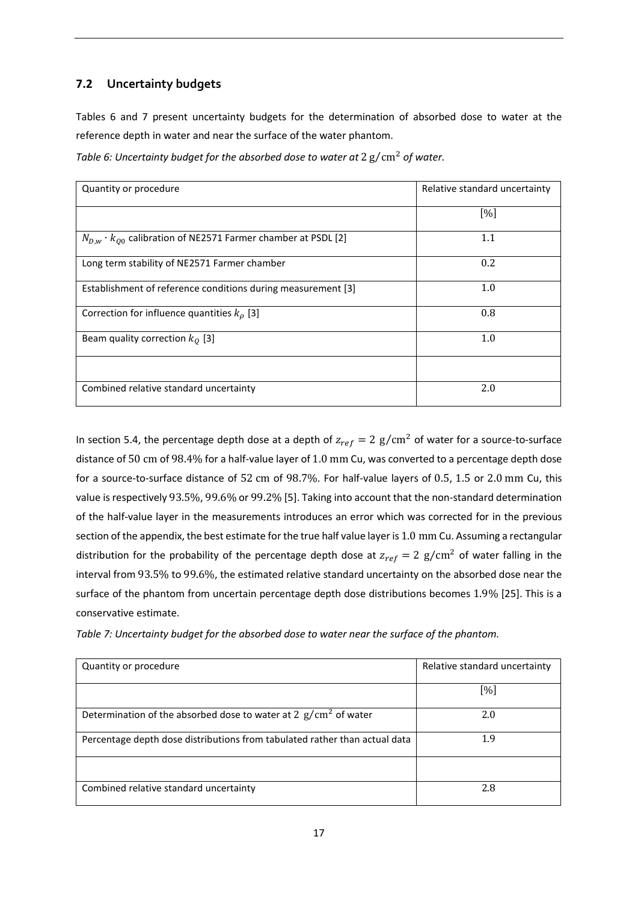### <span id="page-16-0"></span>**7.2 Uncertainty budgets**

Tables 6 and 7 present uncertainty budgets for the determination of absorbed dose to water at the reference depth in water and near the surface of the water phantom.

| Table 6: Uncertainty budget for the absorbed dose to water at $2\,\mathrm{g/cm^2}$ of water. |  |
|----------------------------------------------------------------------------------------------|--|
|----------------------------------------------------------------------------------------------|--|

| Quantity or procedure                                                   | Relative standard uncertainty |
|-------------------------------------------------------------------------|-------------------------------|
|                                                                         | $[\%]$                        |
| $N_{D,w} \cdot k_{O0}$ calibration of NE2571 Farmer chamber at PSDL [2] | 1.1                           |
| Long term stability of NE2571 Farmer chamber                            | 0.2                           |
| Establishment of reference conditions during measurement [3]            | 1.0                           |
| Correction for influence quantities $k_o$ [3]                           | 0.8                           |
| Beam quality correction $k_0$ [3]                                       | 1.0                           |
|                                                                         |                               |
| Combined relative standard uncertainty                                  | 2.0                           |

In section 5.4, the percentage depth dose at a depth of  $z_{ref} = 2$  g/cm<sup>2</sup> of water for a source-to-surface distance of 50 cm of 98.4% for a half-value layer of 1.0 mm Cu, was converted to a percentage depth dose for a source-to-surface distance of 52 cm of 98.7%. For half-value layers of 0.5, 1.5 or 2.0 mm Cu, this value is respectively 93.5%, 99.6% or 99.2% [5]. Taking into account that the non-standard determination of the half-value layer in the measurements introduces an error which was corrected for in the previous section of the appendix, the best estimate for the true half value layer is 1.0 mm Cu. Assuming a rectangular distribution for the probability of the percentage depth dose at  $z_{ref} = 2$  g/cm<sup>2</sup> of water falling in the interval from 93.5% to 99.6%, the estimated relative standard uncertainty on the absorbed dose near the surface of the phantom from uncertain percentage depth dose distributions becomes 1.9% [25]. This is a conservative estimate.

*Table 7: Uncertainty budget for the absorbed dose to water near the surface of the phantom.* 

| Quantity or procedure                                                      | Relative standard uncertainty |
|----------------------------------------------------------------------------|-------------------------------|
|                                                                            | [%]                           |
| Determination of the absorbed dose to water at 2 $\rm g/cm^2$ of water     | 2.0                           |
| Percentage depth dose distributions from tabulated rather than actual data | 1.9                           |
|                                                                            |                               |
| Combined relative standard uncertainty                                     | 2.8                           |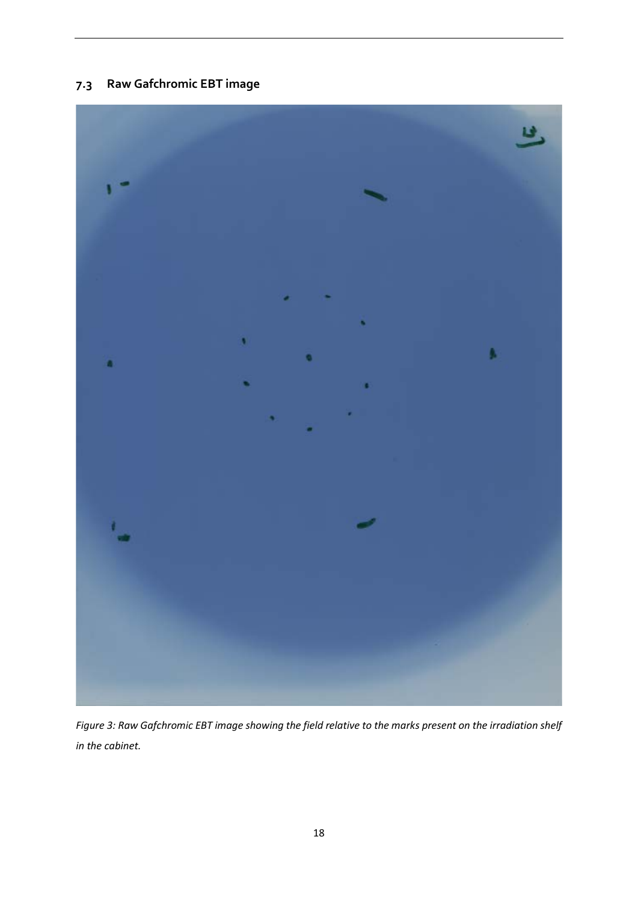# <span id="page-17-0"></span>**7.3 Raw Gafchromic EBT image**



*Figure 3: Raw Gafchromic EBT image showing the field relative to the marks present on the irradiation shelf in the cabinet.*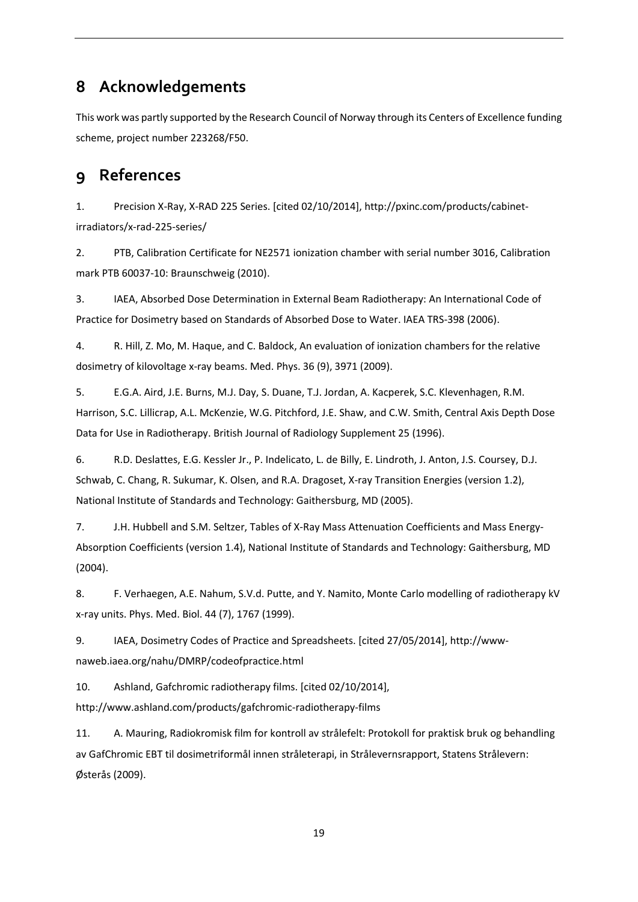## <span id="page-18-0"></span>**8 Acknowledgements**

This work was partly supported by the Research Council of Norway through its Centers of Excellence funding scheme, project number 223268/F50.

# <span id="page-18-1"></span>**9 References**

<span id="page-18-2"></span>1. Precision X-Ray, X-RAD 225 Series. [cited 02/10/2014], [http://pxinc.com/products/cabinet](http://pxinc.com/products/cabinet-irradiators/x-rad-225-series/)[irradiators/x-rad-225-series/](http://pxinc.com/products/cabinet-irradiators/x-rad-225-series/)

<span id="page-18-3"></span>2. PTB, Calibration Certificate for NE2571 ionization chamber with serial number 3016, Calibration mark PTB 60037-10: Braunschweig (2010).

<span id="page-18-4"></span>3. IAEA, Absorbed Dose Determination in External Beam Radiotherapy: An International Code of Practice for Dosimetry based on Standards of Absorbed Dose to Water. IAEA TRS-398 (2006).

<span id="page-18-5"></span>4. R. Hill, Z. Mo, M. Haque, and C. Baldock, An evaluation of ionization chambers for the relative dosimetry of kilovoltage x-ray beams. Med. Phys. 36 (9), 3971 (2009).

<span id="page-18-6"></span>5. E.G.A. Aird, J.E. Burns, M.J. Day, S. Duane, T.J. Jordan, A. Kacperek, S.C. Klevenhagen, R.M. Harrison, S.C. Lillicrap, A.L. McKenzie, W.G. Pitchford, J.E. Shaw, and C.W. Smith, Central Axis Depth Dose Data for Use in Radiotherapy. British Journal of Radiology Supplement 25 (1996).

<span id="page-18-7"></span>6. R.D. Deslattes, E.G. Kessler Jr., P. Indelicato, L. de Billy, E. Lindroth, J. Anton, J.S. Coursey, D.J. Schwab, C. Chang, R. Sukumar, K. Olsen, and R.A. Dragoset, X-ray Transition Energies (version 1.2), National Institute of Standards and Technology: Gaithersburg, MD (2005).

<span id="page-18-8"></span>7. J.H. Hubbell and S.M. Seltzer, Tables of X-Ray Mass Attenuation Coefficients and Mass Energy-Absorption Coefficients (version 1.4), National Institute of Standards and Technology: Gaithersburg, MD (2004).

<span id="page-18-9"></span>8. F. Verhaegen, A.E. Nahum, S.V.d. Putte, and Y. Namito, Monte Carlo modelling of radiotherapy kV x-ray units. Phys. Med. Biol. 44 (7), 1767 (1999).

<span id="page-18-10"></span>9. IAEA, Dosimetry Codes of Practice and Spreadsheets. [cited 27/05/2014], [http://www](http://www-naweb.iaea.org/nahu/DMRP/codeofpractice.html)[naweb.iaea.org/nahu/DMRP/codeofpractice.html](http://www-naweb.iaea.org/nahu/DMRP/codeofpractice.html)

<span id="page-18-11"></span>10. Ashland, Gafchromic radiotherapy films. [cited 02/10/2014],

<http://www.ashland.com/products/gafchromic-radiotherapy-films>

<span id="page-18-12"></span>11. A. Mauring, Radiokromisk film for kontroll av strålefelt: Protokoll for praktisk bruk og behandling av GafChromic EBT til dosimetriformål innen stråleterapi, in Strålevernsrapport, Statens Strålevern: Østerås (2009).

19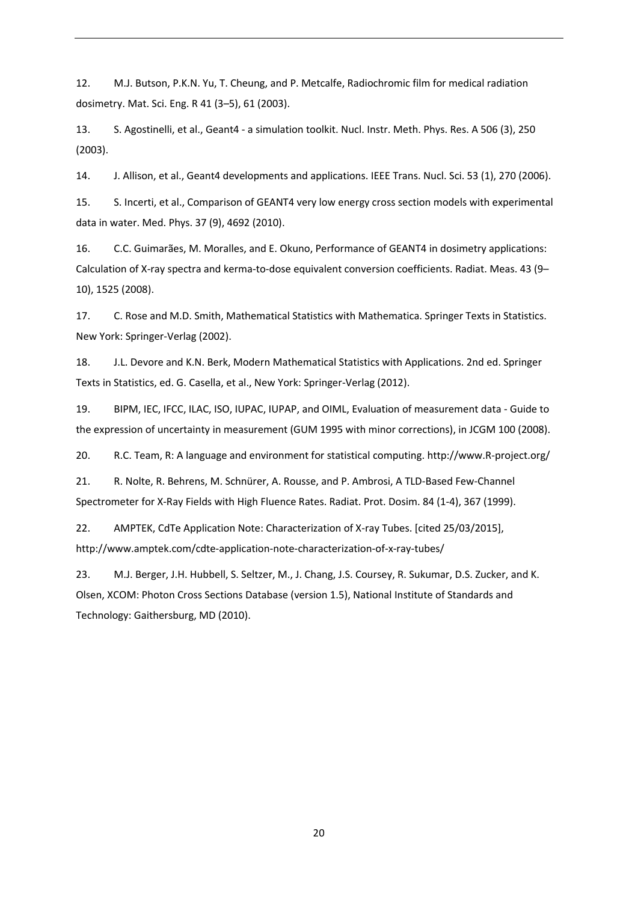<span id="page-19-0"></span>12. M.J. Butson, P.K.N. Yu, T. Cheung, and P. Metcalfe, Radiochromic film for medical radiation dosimetry. Mat. Sci. Eng. R 41 (3–5), 61 (2003).

<span id="page-19-1"></span>13. S. Agostinelli, et al., Geant4 - a simulation toolkit. Nucl. Instr. Meth. Phys. Res. A 506 (3), 250 (2003).

14. J. Allison, et al., Geant4 developments and applications. IEEE Trans. Nucl. Sci. 53 (1), 270 (2006).

15. S. Incerti, et al., Comparison of GEANT4 very low energy cross section models with experimental data in water. Med. Phys. 37 (9), 4692 (2010).

<span id="page-19-2"></span>16. C.C. Guimarães, M. Moralles, and E. Okuno, Performance of GEANT4 in dosimetry applications: Calculation of X-ray spectra and kerma-to-dose equivalent conversion coefficients. Radiat. Meas. 43 (9– 10), 1525 (2008).

<span id="page-19-3"></span>17. C. Rose and M.D. Smith, Mathematical Statistics with Mathematica. Springer Texts in Statistics. New York: Springer-Verlag (2002).

<span id="page-19-4"></span>18. J.L. Devore and K.N. Berk, Modern Mathematical Statistics with Applications. 2nd ed. Springer Texts in Statistics, ed. G. Casella, et al., New York: Springer-Verlag (2012).

<span id="page-19-5"></span>19. BIPM, IEC, IFCC, ILAC, ISO, IUPAC, IUPAP, and OIML, Evaluation of measurement data - Guide to the expression of uncertainty in measurement (GUM 1995 with minor corrections), in JCGM 100 (2008).

<span id="page-19-6"></span>20. R.C. Team, R: A language and environment for statistical computing. [http://www.R-project.org/](http://www.r-project.org/)

<span id="page-19-7"></span>21. R. Nolte, R. Behrens, M. Schnürer, A. Rousse, and P. Ambrosi, A TLD-Based Few-Channel Spectrometer for X-Ray Fields with High Fluence Rates. Radiat. Prot. Dosim. 84 (1-4), 367 (1999).

<span id="page-19-8"></span>22. AMPTEK, CdTe Application Note: Characterization of X-ray Tubes. [cited 25/03/2015], <http://www.amptek.com/cdte-application-note-characterization-of-x-ray-tubes/>

<span id="page-19-9"></span>23. M.J. Berger, J.H. Hubbell, S. Seltzer, M., J. Chang, J.S. Coursey, R. Sukumar, D.S. Zucker, and K. Olsen, XCOM: Photon Cross Sections Database (version 1.5), National Institute of Standards and Technology: Gaithersburg, MD (2010).

20